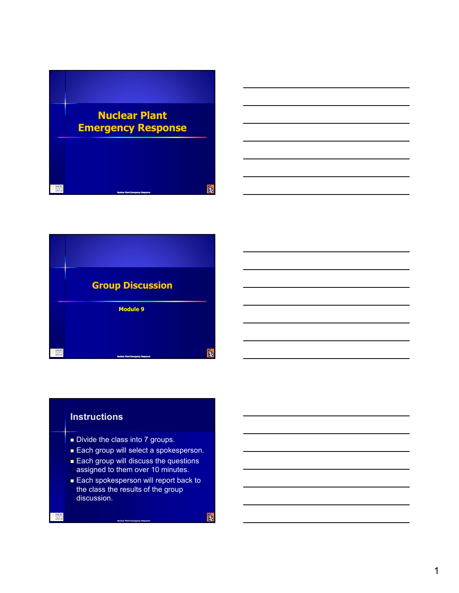



## **Instructions**

- Divide the class into 7 groups.
- Each group will select a spokesperson.
- **Each group will discuss the questions** assigned to them over 10 minutes.
- **Each spokesperson will report back to** the class the results of the group discussion.

**Nuclear Plant Emergency Response**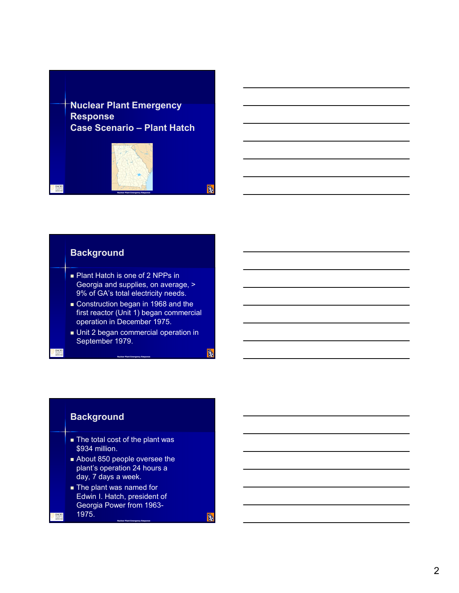**Nuclear Plant Emergency Response Case Scenario – Plant Hatch**



## **Background**

- Plant Hatch is one of 2 NPPs in Georgia and supplies, on average, > 9% of GA's total electricity needs.
- Construction began in 1968 and the first reactor (Unit 1) began commercial operation in December 1975.
- **Unit 2 began commercial operation in** September 1979.

**Nuclear Plant Emergency Response**

## **Background**

- The total cost of the plant was \$934 million.
- About 850 people oversee the plant's operation 24 hours a day, 7 days a week.
- **The plant was named for** Edwin I. Hatch, president of Georgia Power from 1963- 1975.

**Nuclear Plant Emergency Response**

**B**